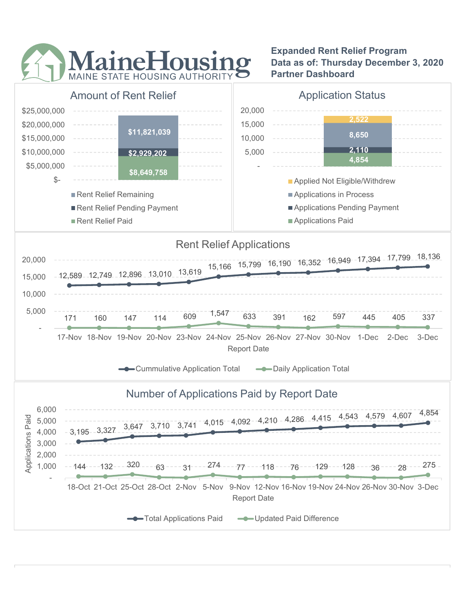

Expanded Rent Relief Program Data as of: Thursday December 3, 2020 Partner Dashboard